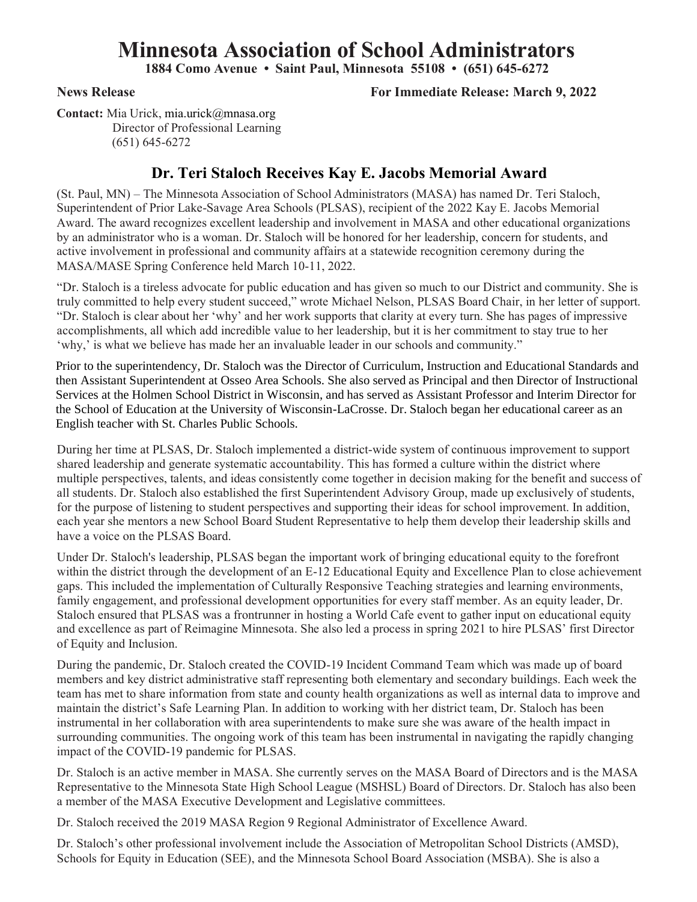## **Minnesota Association of School Administrators**

**1884 Como Avenue • Saint Paul, Minnesota 55108 • (651) 645-6272**

## **News Release For Immediate Release: March 9, 2022**

**Contact:** Mia Urick, mia.urick@mnasa.org Director of Professional Learning (651) 645-6272

## **Dr. Teri Staloch Receives Kay E. Jacobs Memorial Award**

(St. Paul, MN) – The Minnesota Association of School Administrators (MASA) has named Dr. Teri Staloch, Superintendent of Prior Lake-Savage Area Schools (PLSAS), recipient of the 2022 Kay E. Jacobs Memorial Award. The award recognizes excellent leadership and involvement in MASA and other educational organizations by an administrator who is a woman. Dr. Staloch will be honored for her leadership, concern for students, and active involvement in professional and community affairs at a statewide recognition ceremony during the MASA/MASE Spring Conference held March 10-11, 2022.

"Dr. Staloch is a tireless advocate for public education and has given so much to our District and community. She is truly committed to help every student succeed," wrote Michael Nelson, PLSAS Board Chair, in her letter of support. "Dr. Staloch is clear about her 'why' and her work supports that clarity at every turn. She has pages of impressive accomplishments, all which add incredible value to her leadership, but it is her commitment to stay true to her 'why,' is what we believe has made her an invaluable leader in our schools and community."

Prior to the superintendency, Dr. Staloch was the Director of Curriculum, Instruction and Educational Standards and then Assistant Superintendent at Osseo Area Schools. She also served as Principal and then Director of Instructional Services at the Holmen School District in Wisconsin, and has served as Assistant Professor and Interim Director for the School of Education at the University of Wisconsin-LaCrosse. Dr. Staloch began her educational career as an English teacher with St. Charles Public Schools.

During her time at PLSAS, Dr. Staloch implemented a district-wide system of continuous improvement to support shared leadership and generate systematic accountability. This has formed a culture within the district where multiple perspectives, talents, and ideas consistently come together in decision making for the benefit and success of all students. Dr. Staloch also established the first Superintendent Advisory Group, made up exclusively of students, for the purpose of listening to student perspectives and supporting their ideas for school improvement. In addition, each year she mentors a new School Board Student Representative to help them develop their leadership skills and have a voice on the PLSAS Board.

Under Dr. Staloch's leadership, PLSAS began the important work of bringing educational equity to the forefront within the district through the development of an E-12 Educational Equity and Excellence Plan to close achievement gaps. This included the implementation of Culturally Responsive Teaching strategies and learning environments, family engagement, and professional development opportunities for every staff member. As an equity leader, Dr. Staloch ensured that PLSAS was a frontrunner in hosting a World Cafe event to gather input on educational equity and excellence as part of Reimagine Minnesota. She also led a process in spring 2021 to hire PLSAS' first Director of Equity and Inclusion.

During the pandemic, Dr. Staloch created the COVID-19 Incident Command Team which was made up of board members and key district administrative staff representing both elementary and secondary buildings. Each week the team has met to share information from state and county health organizations as well as internal data to improve and maintain the district's Safe Learning Plan. In addition to working with her district team, Dr. Staloch has been instrumental in her collaboration with area superintendents to make sure she was aware of the health impact in surrounding communities. The ongoing work of this team has been instrumental in navigating the rapidly changing impact of the COVID-19 pandemic for PLSAS.

Dr. Staloch is an active member in MASA. She currently serves on the MASA Board of Directors and is the MASA Representative to the Minnesota State High School League (MSHSL) Board of Directors. Dr. Staloch has also been a member of the MASA Executive Development and Legislative committees.

Dr. Staloch received the 2019 MASA Region 9 Regional Administrator of Excellence Award.

Dr. Staloch's other professional involvement include the Association of Metropolitan School Districts (AMSD), Schools for Equity in Education (SEE), and the Minnesota School Board Association (MSBA). She is also a